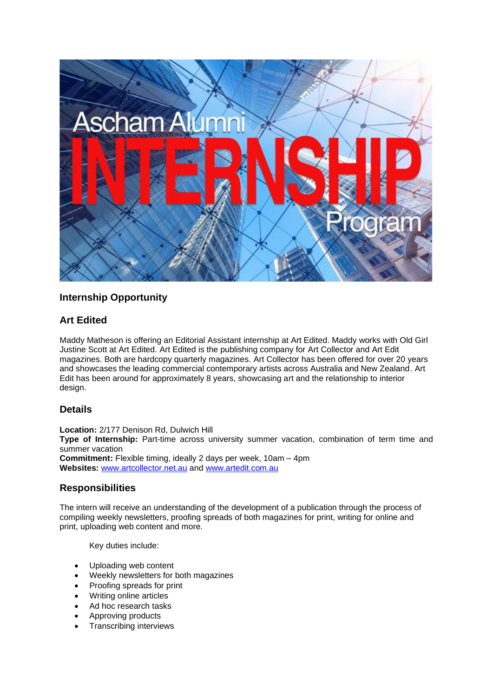

# **Internship Opportunity**

## **Art Edited**

Maddy Matheson is offering an Editorial Assistant internship at Art Edited. Maddy works with Old Girl Justine Scott at Art Edited. Art Edited is the publishing company for *Art Collector* and *Art Edit* magazines. Both are hardcopy quarterly magazines. *Art Collector* has been offered for over 20 years and showcases the leading commercial contemporary artists across Australia and New Zealand*. Art Edit* has been around for approximately 8 years, showcasing art and the relationship to interior design.

## **Details**

**Location:** 2/177 Denison Rd, Dulwich Hill **Type of Internship:** Part-time across university summer vacation, combination of term time and summer vacation **Commitment:** Flexible timing, ideally 2 days per week, 10am – 4pm **Websites:** [www.artcollector.net.au](http://www.artcollector.net.au/) and [www.artedit.com.au](http://www.artedit.com.au/)

## **Responsibilities**

The intern will receive an understanding of the development of a publication through the process of compiling weekly newsletters, proofing spreads of both magazines for print, writing for online and print, uploading web content and more.

Key duties include:

- Uploading web content
- Weekly newsletters for both magazines
- Proofing spreads for print
- Writing online articles
- Ad hoc research tasks
- Approving products
- Transcribing interviews